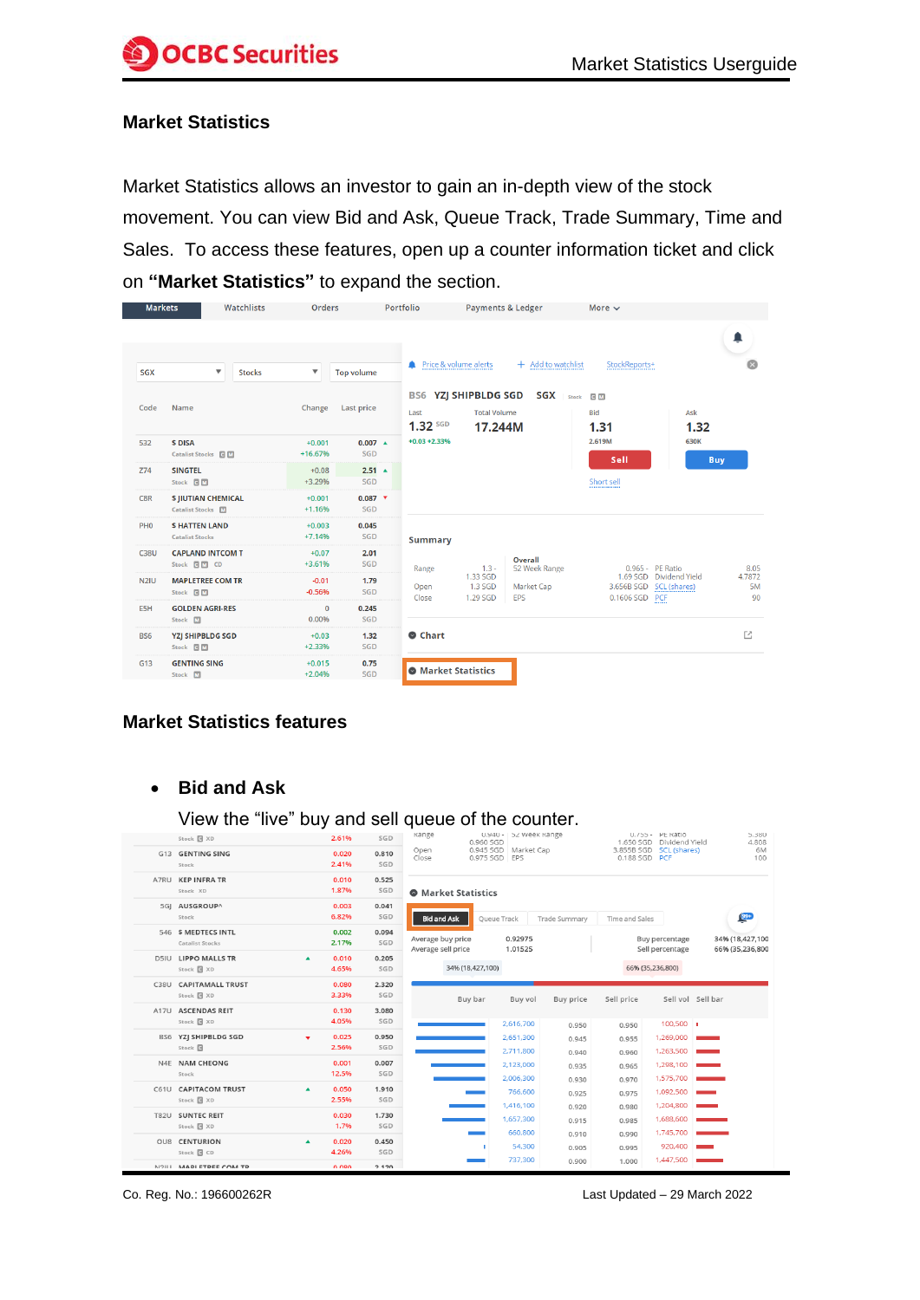#### **Market Statistics**

Market Statistics allows an investor to gain an in-depth view of the stock movement. You can view Bid and Ask, Queue Track, Trade Summary, Time and Sales. To access these features, open up a counter information ticket and click on **"Market Statistics"** to expand the section.

| <b>Markets</b>    | Watchlists                                             | Orders                  |                         | Portfolio                                                     | <b>Payments &amp; Ledger</b>    |                                 | More $\sim$               |                                                           |                    |
|-------------------|--------------------------------------------------------|-------------------------|-------------------------|---------------------------------------------------------------|---------------------------------|---------------------------------|---------------------------|-----------------------------------------------------------|--------------------|
| SGX               | $\blacktriangledown$<br><b>Stocks</b>                  | $\overline{\mathbf{v}}$ | <b>Top volume</b>       | Price & volume alerts                                         |                                 | + Add to watchlist              | StockReports+             |                                                           |                    |
| Code              | Name                                                   | Change                  | <b>Last price</b>       | <b>BS6 YZJ SHIPBLDG SGD</b><br>Last<br>$1.32$ sg <sub>D</sub> | <b>Total Volume</b><br>17.244M  | <b>SGX</b> Stock                | C M<br><b>Bid</b><br>1.31 | Ask<br>1.32                                               |                    |
| 532               | <b>S DISA</b><br>Catalist Stocks <b>G</b> M            | $+0.001$<br>+16.67%     | $0.007 -$<br>SGD        | $+0.03 + 2.33%$                                               |                                 |                                 | 2.619M<br>Sell            | 630K<br><b>Buy</b>                                        |                    |
| Z74               | <b>SINGTEL</b><br>Stock <b>GM</b>                      | $+0.08$<br>$+3.29%$     | $2.51 \triangle$<br>SGD |                                                               |                                 |                                 | Short sell<br>.           |                                                           |                    |
| C8R               | <b>\$ JIUTIAN CHEMICAL</b><br>Catalist Stocks <b>M</b> | $+0.001$<br>$+1.16%$    | $0.087$ $\tau$<br>SGD   |                                                               |                                 |                                 |                           |                                                           |                    |
| PH <sub>0</sub>   | <b>SHATTEN LAND</b><br><b>Catalist Stocks</b>          | $+0.003$<br>$+7.14%$    | 0.045<br>SGD            | <b>Summary</b>                                                |                                 |                                 |                           |                                                           |                    |
| <b>C38U</b>       | <b>CAPLAND INTCOM T</b><br>Stock d M CD                | $+0.07$<br>$+3.61%$     | 2.01<br>SGD             | Range                                                         | $1.3 -$                         | <b>Overall</b><br>52 Week Range |                           | 0.965 - PE Ratio                                          | 8.05               |
| N <sub>2</sub> IU | <b>MAPLETREE COM TR</b><br>Stock <b>GM</b>             | $-0.01$<br>$-0.56%$     | 1.79<br>SGD             | Open<br>Close                                                 | 1.33 SGD<br>1.3 SGD<br>1.29 SGD | Market Cap<br>EPS               | 0.1606 SGD                | 1.69 SGD Dividend Yield<br>3.656B SGD SCL (shares)<br>PCF | 4.7872<br>5M<br>90 |
| E5H               | <b>GOLDEN AGRI-RES</b><br>Stock M                      | $\mathbf{0}$<br>0.00%   | 0.245<br><b>SGD</b>     |                                                               |                                 |                                 |                           |                                                           |                    |
| <b>BS6</b>        | <b>YZJ SHIPBLDG SGD</b><br>Stock <b>GM</b>             | $+0.03$<br>$+2.33%$     | 1.32<br>SGD             | Chart                                                         |                                 |                                 |                           |                                                           | M                  |
| G13               | <b>GENTING SING</b><br>Stock M                         | $+0.015$<br>$+2.04%$    | 0.75<br>SGD             | <b>O</b> Market Statistics                                    |                                 |                                 |                           |                                                           |                    |

# **Market Statistics features**

### • **Bid and Ask**

View the "live" buy and sell queue of the counter.

| Stock & XD                                   |                  | 2.61%          | SGD          | kange                                   | 0.960 SGD                  | U.940 -   52 Week Kange |                  |                | U. / b = PE Ratio<br>1.650 SGD Dividend Yield | <b>D.380</b><br>4.808              |
|----------------------------------------------|------------------|----------------|--------------|-----------------------------------------|----------------------------|-------------------------|------------------|----------------|-----------------------------------------------|------------------------------------|
| G13 GENTING SING<br>Stock                    |                  | 0.020<br>2.41% | 0.810<br>SGD | Open<br>Close                           | 0.975 SGD EPS              | 0.945 SGD Market Cap    |                  | 0.188 SGD PCF  | 3.855B SGD SCL (shares)                       | 6M<br>100                          |
| A7RU KEP INFRA TR<br>Stock XD                |                  | 0.010<br>1.87% | 0.525<br>SGD |                                         | <b>O</b> Market Statistics |                         |                  |                |                                               |                                    |
| 5GJ AUSGROUP^<br>Stock                       |                  | 0.003<br>6.82% | 0.041<br>SGD | <b>Bid and Ask</b>                      |                            | Oueue Track             | Trade Summary    | Time and Sales |                                               | $99+$                              |
| 546 S MEDTECS INTL<br>Catalist Stocks        |                  | 0.002<br>2.17% | 0.094<br>SGD | Average buy price<br>Average sell price |                            | 0.92975<br>1.01525      |                  |                | Buy percentage<br>Sell percentage             | 34% (18,427,100<br>66% (35,236,800 |
| <b>D5IU LIPPO MALLS TR</b><br>Stock & XD     | $\blacktriangle$ | 0.010<br>4.65% | 0.205<br>SGD |                                         | 34% (18,427,100)           |                         |                  |                | 66% (35,236,800)                              |                                    |
| C38U CAPITAMALL TRUST<br>Stock & XD          |                  | 0.080<br>3.33% | 2.320<br>SGD |                                         | Buy bar                    | Buy vol                 | <b>Buy price</b> | Sell price     | Sell vol Sell bar                             |                                    |
| A17U ASCENDAS REIT<br>Stock & XD             |                  | 0.130<br>4.05% | 3.080<br>SGD |                                         |                            | 2,616,700               | 0.950            | 0.950          | $100,500$                                     |                                    |
| BS6 YZJ SHIPBLDG SGD<br>Stock <sup>[3]</sup> | ÷                | 0.025<br>2.56% | 0.950<br>SGD |                                         |                            | 2.651.300<br>2,711,800  | 0.945<br>0.940   | 0.955<br>0.960 | 1.269.000<br>1,263,500                        |                                    |
| N4E NAM CHEONG<br>Stock                      |                  | 0.001<br>12.5% | 0.007<br>SGD |                                         |                            | 2.123.000<br>2,006,300  | 0.935<br>0.930   | 0.965<br>0.970 | 1,298,100<br>1,575,700                        |                                    |
| C61U CAPITACOM TRUST<br>Stock & XD           | $\blacktriangle$ | 0.050<br>2.55% | 1.910<br>SGD |                                         |                            | 766.600<br>1,416,100    | 0.925<br>0.920   | 0.975<br>0.980 | 1.092.500<br>1,204,800                        | <b>Contract Contract</b>           |
| T82U SUNTEC REIT<br>Stock & XD               |                  | 0.030<br>1.7%  | 1.730<br>SGD |                                         |                            | 1.657.300<br>660,800    | 0.915<br>0.910   | 0.985<br>0.990 | 1,688,600<br>1,745,700                        |                                    |
| OU8 CENTURION<br>Stock & CD                  | $\blacktriangle$ | 0.020<br>4.26% | 0.450<br>SGD |                                         |                            | 54,300<br>737.300       | 0.905            | 0.995          | 920,400<br>1,447,500                          |                                    |
| M2ILL MADLETREE COM TR                       |                  | 0.080          | 2120         |                                         |                            |                         | 0.900            | 1.000          |                                               |                                    |

Co. Reg. No.: 196600262R Last Updated – 29 March 2022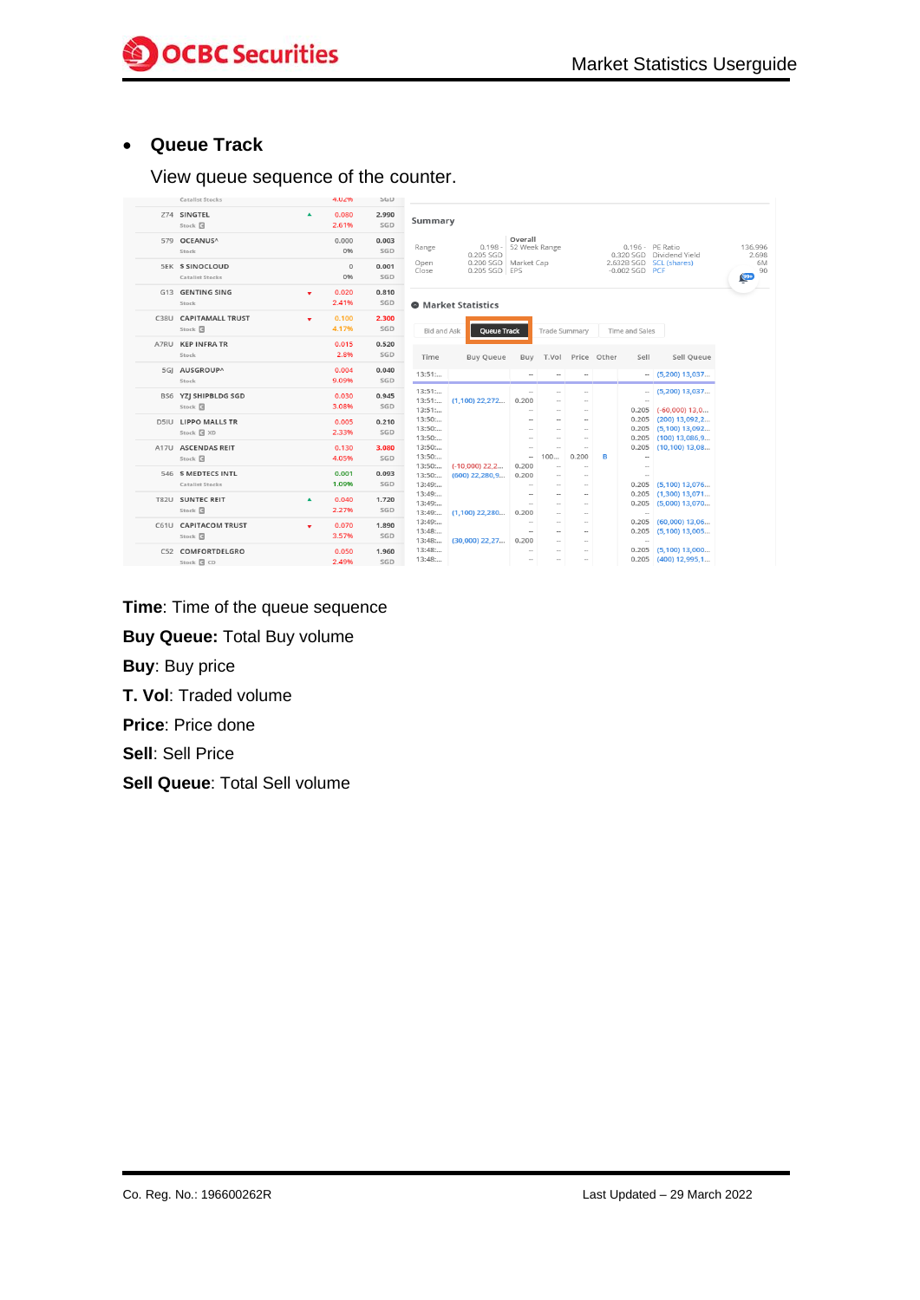# • **Queue Track**

#### View queue sequence of the counter.

|      | Catalist Stocks                                  |    | 4.02%          | <b>SGD</b>   |                          |                                       |                                             |                            |                            |             |                           |                                                                |
|------|--------------------------------------------------|----|----------------|--------------|--------------------------|---------------------------------------|---------------------------------------------|----------------------------|----------------------------|-------------|---------------------------|----------------------------------------------------------------|
|      | Z74 SINGTEL<br>Stock <b>B</b>                    | ▲  | 0.080<br>2.61% | 2.990<br>SGD | Summary                  |                                       |                                             |                            |                            |             |                           |                                                                |
|      | 579 OCEANUS^<br>Stock                            |    | 0.000<br>0%    | 0.003<br>SGD | Range                    | $0.198 -$<br>0.205 SGD                | Overall<br>52 Week Range                    |                            |                            |             | 0.196 - PE Ratio          | 0.320 SGD Dividend Yield                                       |
|      | <b>5EK S SINOCLOUD</b><br><b>Catalist Stocks</b> |    | $\Omega$<br>0% | 0.001<br>SGD | Open<br>Close            | 0.200 SGD Market Cap<br>0.205 SGD EPS |                                             |                            |                            |             | -0.002 SGD PCF            | 2.632B SGD SCL (shares)                                        |
|      | G13 GENTING SING<br>Stock                        | ۰  | 0.020<br>2.41% | 0.810<br>SGD |                          | <b>O</b> Market Statistics            |                                             |                            |                            |             |                           |                                                                |
|      | C38U CAPITAMALL TRUST<br>Stock <sup>[4]</sup>    | ÷  | 0.100<br>4.17% | 2.300<br>SGD | <b>Bid and Ask</b>       | Queue Track                           |                                             | Trade Summary              |                            |             | Time and Sales            |                                                                |
| A7RU | <b>KEP INFRA TR</b><br>Stock                     |    | 0.015<br>2.8%  | 0.520<br>SGD | Time                     | <b>Buy Queue</b>                      | Buy                                         | T.Vol                      |                            | Price Other | Sell                      | Sell Queue                                                     |
|      | 5GI AUSGROUP^<br>Stock                           |    | 0.004<br>9.09% | 0.040<br>SGD | 13:51                    |                                       | $\sim$                                      |                            | $\sim$                     |             |                           | $-$ (5,200) 13,037                                             |
|      | BS6 YZJ SHIPBLDG SGD<br>Stock <b>B</b>           |    | 0.030<br>3.08% | 0.945<br>SGD | 13:51<br>13:51<br>13:51  | $(1,100)$ 22,272                      | $\sim$<br>0.200<br>и.                       | $\sim$<br>$\sim$           | ÷.<br>$\sim$               |             | $\sim$                    | $(5,200)$ 13,037<br>$0.205$ (-60,000) 13,0                     |
|      | <b>D5IU LIPPO MALLS TR</b><br>Stock & XD         |    | 0.005<br>2.33% | 0.210<br>SGD | 13:50<br>13:50<br>13:50: |                                       | $\sim$<br>$\sim$<br>$\sim$                  | $\sim$<br>$\sim$<br>$\sim$ | $\sim$<br>$\sim$<br>$\sim$ |             | 0.205<br>0.205            | $(200)$ 13,092,2<br>$0.205$ (5,100) 13,092<br>$(100)$ 13,086,9 |
| A17U | <b>ASCENDAS REIT</b><br>Stock <b>B</b>           |    | 0.130<br>4.05% | 3.080<br>SGD | 13:50<br>13:50           |                                       | $\overline{a}$<br>$\overline{\phantom{a}}$  | 100                        | $\sim$<br>0.200            | B           | 0.205<br>$\sim$           | $(10, 100)$ 13,08                                              |
|      | 546 S MEDTECS INTL<br><b>Catalist Stocks</b>     |    | 0.001<br>1.09% | 0.093<br>SGD | 13:50<br>13:50<br>13:49  | $(-10,000)$ 22.2<br>$(600)$ 22,280,9  | 0.200<br>0.200<br>$\sim$                    | $\sim$<br>ц,<br>$\sim$     | $\sim$<br>$\sim$<br>$\sim$ |             | $\sim$<br>$\sim$<br>0.205 | $(5,100)$ 13,076                                               |
|      | T82U SUNTEC REIT<br>Stock <b>Q</b>               | ▲  | 0.040<br>2.27% | 1.720<br>SGD | 13:49<br>13:49<br>13:49  | $(1,100)$ 22,280                      | $\sim$<br>$\sim$<br>0.200                   | $\sim$<br>$\sim$<br>$\sim$ | $\sim$<br>$\sim$<br>$\sim$ |             | 0.205<br>0.205<br>$\sim$  | $(1,300)$ 13,071<br>$(5,000)$ 13,070                           |
|      | C61U CAPITACOM TRUST<br>Stock <b>B</b>           | v. | 0.070<br>3.57% | 1.890<br>SGD | 13:49<br>13:48<br>13:48  | $(30,000)$ 22,27                      | $\overline{\phantom{a}}$<br>$\sim$<br>0.200 | $\sim$<br>$\sim$<br>$\sim$ | $\sim$<br>$\sim$<br>$\sim$ |             | 0.205<br>$\sim$           | $0.205$ (60,000) 13,06<br>$(5,100)$ 13,005                     |
|      | C52 COMFORTDELGRO<br>Stock <b>Q</b> CD           |    | 0.050<br>2.49% | 1.960<br>SGD | 13:48<br>13:48           |                                       | н.<br>$\sim$                                | $\sim$<br>$\sim$           | $\sim$<br>$\sim$           |             | 0.205                     | $(5,100)$ 13,000<br>$0.205$ (400) 12,995,1                     |

- **Time**: Time of the queue sequence
- **Buy Queue:** Total Buy volume
- **Buy**: Buy price
- **T. Vol**: Traded volume
- **Price**: Price done
- **Sell**: Sell Price
- **Sell Queue**: Total Sell volume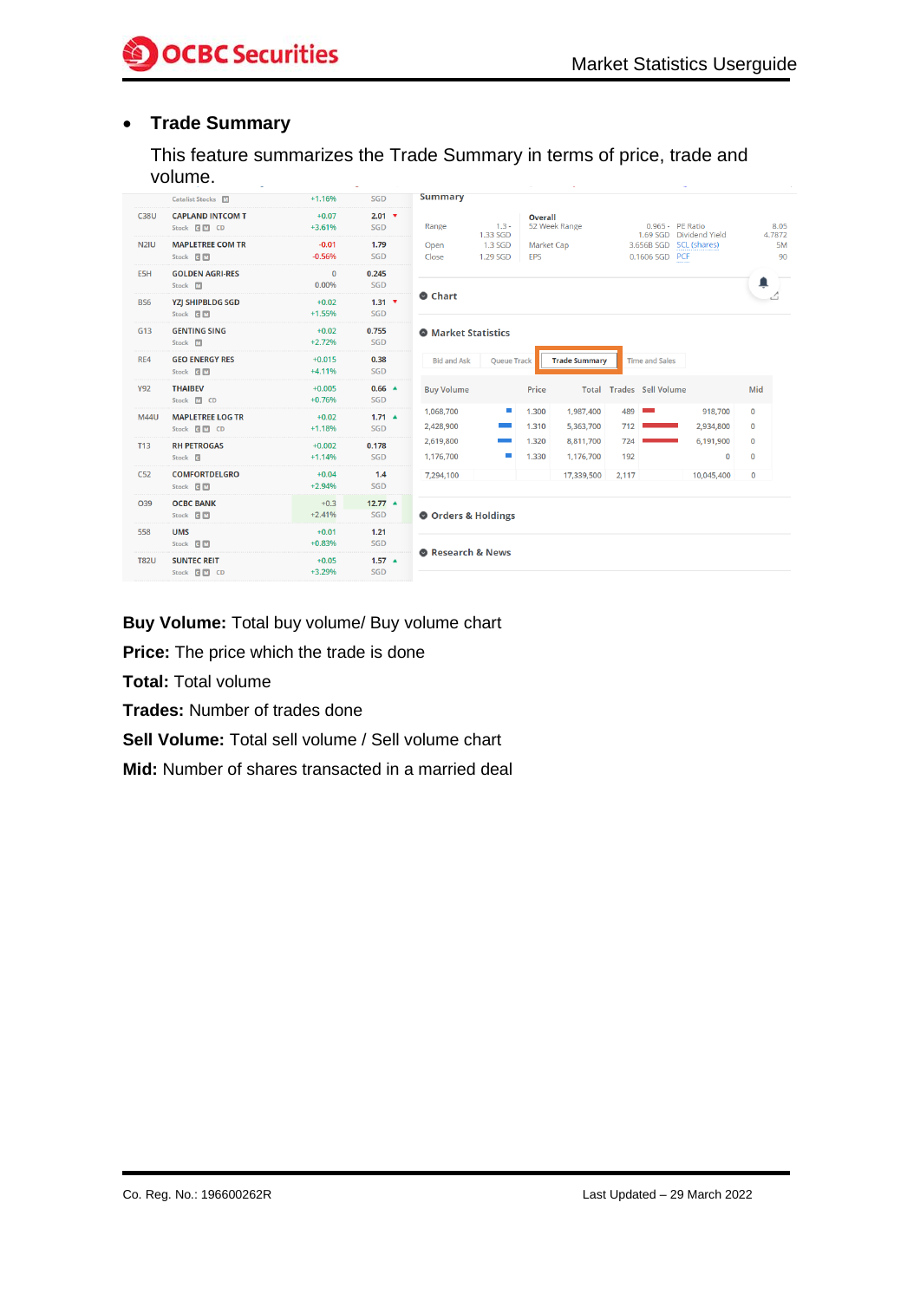# • **Trade Summary**

This feature summarizes the Trade Summary in terms of price, trade and volume.

|                   | Catalist Stocks M                             | $+1.16%$              | SGD                        | <b>Summary</b>                                                                                                                                                      |
|-------------------|-----------------------------------------------|-----------------------|----------------------------|---------------------------------------------------------------------------------------------------------------------------------------------------------------------|
| <b>C38U</b>       | <b>CAPLAND INTCOM T</b><br>Stock <b>BM</b> CD | $+0.07$<br>$+3.61%$   | $2.01$ $\sqrt{ }$<br>SGD   | Overall<br>52 Week Range<br>$1.3 -$<br>0.965 - PE Ratio<br>Range<br>1.69 SGD Dividend Yield<br>1.33 SGD<br>4.7872                                                   |
| N <sub>2</sub> IU | <b>MAPLETREE COM TR</b><br>Stock <b>C</b> M   | $-0.01$<br>$-0.56%$   | 1.79<br>SGD                | 1.3 SGD<br>Market Cap<br>3.656B SGD SCL (shares)<br>Open<br>0.1606 SGD PCF<br>1.29 SGD<br>Close<br>EPS                                                              |
| E5H               | <b>GOLDEN AGRI-RES</b><br>Stock M             | $\mathbf{0}$<br>0.00% | 0.245<br>SGD               | ≞                                                                                                                                                                   |
| BS <sub>6</sub>   | <b>YZI SHIPBLDG SGD</b><br>Stock <b>C</b> M   | $+0.02$<br>$+1.55%$   | $1.31$ $\sqrt{ }$<br>SGD   | <b>O</b> Chart                                                                                                                                                      |
| G <sub>13</sub>   | <b>GENTING SING</b><br>Stock M                | $+0.02$<br>$+2.72%$   | 0.755<br>SGD               | <b>O</b> Market Statistics                                                                                                                                          |
| RE4               | <b>GEO ENERGY RES</b><br>Stock <b>GM</b>      | $+0.015$<br>$+4.11%$  | 0.38<br>SGD                | <b>Bid and Ask</b><br><b>Trade Summary</b><br><b>Oueue Track</b><br><b>Time and Sales</b>                                                                           |
| <b>Y92</b>        | <b>THAIBEV</b><br>Stock M CD                  | $+0.005$<br>$+0.76%$  | $0.66$ $\triangle$<br>SGD  | Price<br><b>Total Trades Sell Volume</b><br>Mid<br><b>Buy Volume</b>                                                                                                |
| <b>M44U</b>       | <b>MAPLETREE LOG TR</b><br>Stock <b>BM</b> CD | $+0.02$<br>$+1.18%$   | $1.71 -$<br>SGD            | <b>College</b><br>1.300<br>918,700<br>0<br>1,068,700<br>1,987,400<br>489<br>1.310<br>2,428,900<br>5,363,700<br>712<br>2,934,800<br>$\mathbf{0}$                     |
| <b>T13</b>        | <b>RH PETROGAS</b><br>Stock <b>G</b>          | $+0.002$<br>$+1.14%$  | 0.178<br>SGD               | 1.320<br>8,811,700<br>724<br>6,191,900<br>$\mathbf 0$<br>2,619,800<br><b>Contract</b><br>1.330<br>ш<br>1.176.700<br>192<br>$\mathbf{0}$<br>$\mathbf 0$<br>1.176.700 |
| C52               | <b>COMFORTDELGRO</b><br>Stock <b>GM</b>       | $+0.04$<br>$+2.94%$   | 1.4<br>SGD                 | 7,294,100<br>17,339,500<br>2,117<br>10,045,400<br>0                                                                                                                 |
| O39               | <b>OCBC BANK</b><br>Stock <b>CM</b>           | $+0.3$<br>$+2.41%$    | $12.77$ $\triangle$<br>SGD | O Orders & Holdings                                                                                                                                                 |
| 558               | <b>UMS</b><br>Stock <b>GM</b>                 | $+0.01$<br>$+0.83%$   | 1.21<br>SGD                |                                                                                                                                                                     |
| <b>T82U</b>       | <b>SUNTEC REIT</b><br>Stock <b>GM</b> CD      | $+0.05$<br>$+3.29%$   | $1.57 \triangle$<br>SGD    | Research & News                                                                                                                                                     |

**Buy Volume:** Total buy volume/ Buy volume chart

**Price:** The price which the trade is done

**Total:** Total volume

**Trades:** Number of trades done

**Sell Volume:** Total sell volume / Sell volume chart

**Mid:** Number of shares transacted in a married deal